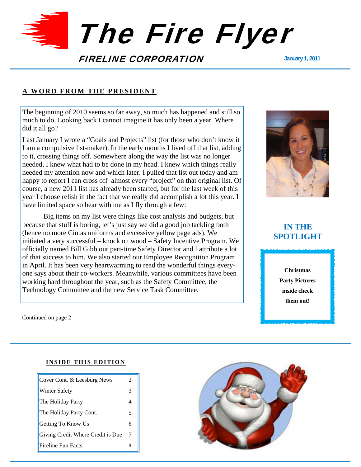

### **A WORD FROM THE PRESIDENT**

The beginning of 2010 seems so far away, so much has happened and still so much to do. Looking back I cannot imagine it has only been a year. Where did it all go?

Last January I wrote a "Goals and Projects" list (for those who don't know it I am a compulsive list-maker). In the early months I lived off that list, adding to it, crossing things off. Somewhere along the way the list was no longer needed, I knew what had to be done in my head. I knew which things really needed my attention now and which later. I pulled that list out today and am happy to report I can cross off almost every "project" on that original list. Of course, a new 2011 list has already been started, but for the last week of this year I choose relish in the fact that we really did accomplish a lot this year. I have limited space so bear with me as I fly through a few:

Big items on my list were things like cost analysis and budgets, but because that stuff is boring, let's just say we did a good job tackling both (hence no more Cintas uniforms and excessive yellow page ads). We initiated a very successful – knock on wood – Safety Incentive Program. We officially named Bill Gibb our part-time Safety Director and I attribute a lot of that success to him. We also started our Employee Recognition Program in April. It has been very heartwarming to read the wonderful things everyone says about their co-workers. Meanwhile, various committees have been working hard throughout the year, such as the Safety Committee, the Technology Committee and the new Service Task Committee.



# **IN THE SPOTLIGHT**

**Christmas Party Pictures inside check them out!** 

Continued on page 2

### **INSIDE THIS EDITION**

| Cover Cont. & Leesburg News       | 2 |
|-----------------------------------|---|
| <b>Winter Safety</b>              | 3 |
| The Holiday Party                 |   |
| The Holiday Party Cont.           | 5 |
| Getting To Know Us                | 6 |
| Giving Credit Where Credit is Due | 7 |
| <b>Fireline Fun Facts</b>         | 8 |

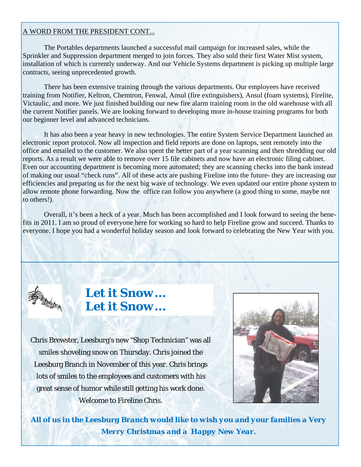### A WORD FROM THE PRESIDENT CONT...

 The Portables departments launched a successful mail campaign for increased sales, while the Sprinkler and Suppression department merged to join forces. They also sold their first Water Mist system, installation of which is currently underway. And our Vehicle Systems department is picking up multiple large contracts, seeing unprecedented growth.

 There has been extensive training through the various departments. Our employees have received training from Notifier, Keltron, Chemtron, Fenwal, Ansul (fire extinguishers), Ansul (foam systems), Firelite, Victaulic, and more. We just finished building our new fire alarm training room in the old warehouse with all the current Notifier panels. We are looking forward to developing more in-house training programs for both our beginner level and advanced technicians.

 It has also been a year heavy in new technologies. The entire System Service Department launched an electronic report protocol. Now all inspection and field reports are done on laptops, sent remotely into the office and emailed to the customer. We also spent the better part of a year scanning and then shredding our old reports. As a result we were able to remove over 15 file cabinets and now have an electronic filing cabinet. Even our accounting department is becoming more automated; they are scanning checks into the bank instead of making our usual "check runs". All of these acts are pushing Fireline into the future- they are increasing our efficiencies and preparing us for the next big wave of technology. We even updated our entire phone system to allow remote phone forwarding. Now the office can follow you anywhere (a good thing to some, maybe not to others!).

 Overall, it's been a heck of a year. Much has been accomplished and I look forward to seeing the benefits in 2011. I am so proud of everyone here for working so hard to help Fireline grow and succeed. Thanks to everyone. I hope you had a wonderful holiday season and look forward to celebrating the New Year with you.



# *Let it Snow… Let it Snow…*

Chris Brewster, Leesburg's new "Shop Technician" was all smiles shoveling snow on Thursday. Chris joined the Leesburg Branch in November of this year. Chris brings lots of smiles to the employees and customers with his great sense of humor while still getting his work done. Welcome to *Fireline* Chris.



*All of us in the Leesburg Branch would like to wish you and your families a Very Merry Christmas and a Happy New Year.*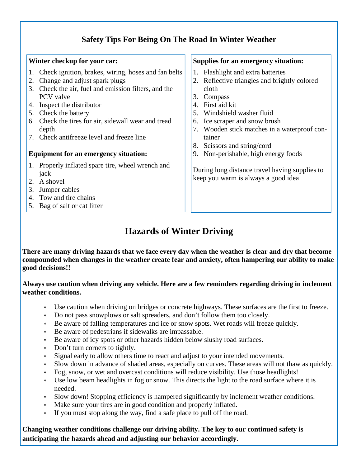# **Safety Tips For Being On The Road In Winter Weather**

# **Winter checkup for your car:**

- 1. Check ignition, brakes, wiring, hoses and fan belts
- 2. Change and adjust spark plugs
- 3. Check the air, fuel and emission filters, and the PCV valve
- 4. Inspect the distributor
- 5. Check the battery
- 6. Check the tires for air, sidewall wear and tread depth
- 7. Check antifreeze level and freeze line

# **Equipment for an emergency situation:**

- 1. Properly inflated spare tire, wheel wrench and jack
- 2. A shovel
- 3. Jumper cables
- 4. Tow and tire chains
- 5. Bag of salt or cat litter

## **Supplies for an emergency situation:**

- 1. Flashlight and extra batteries
- 2. Reflective triangles and brightly colored cloth
- 3. Compass
- 4. First aid kit
- 5. Windshield washer fluid
- 6. Ice scraper and snow brush
- 7. Wooden stick matches in a waterproof container
- 8. Scissors and string/cord
- 9. Non-perishable, high energy foods

During long distance travel having supplies to keep you warm is always a good idea

# **Hazards of Winter Driving**

**There are many driving hazards that we face every day when the weather is clear and dry that become compounded when changes in the weather create fear and anxiety, often hampering our ability to make good decisions!!** 

## **Always use caution when driving any vehicle. Here are a few reminders regarding driving in inclement weather conditions.**

- Use caution when driving on bridges or concrete highways. These surfaces are the first to freeze.
- Do not pass snowplows or salt spreaders, and don't follow them too closely.
- Be aware of falling temperatures and ice or snow spots. Wet roads will freeze quickly.
- Be aware of pedestrians if sidewalks are impassable.
- Be aware of icy spots or other hazards hidden below slushy road surfaces.
- Don't turn corners to tightly.
- Signal early to allow others time to react and adjust to your intended movements.
- Slow down in advance of shaded areas, especially on curves. These areas will not thaw as quickly.
- Fog, snow, or wet and overcast conditions will reduce visibility. Use those headlights!
- Use low beam headlights in fog or snow. This directs the light to the road surface where it is needed.
- Slow down! Stopping efficiency is hampered significantly by inclement weather conditions.
- Make sure your tires are in good condition and properly inflated.
- If you must stop along the way, find a safe place to pull off the road.

**Changing weather conditions challenge our driving ability. The key to our continued safety is anticipating the hazards ahead and adjusting our behavior accordingly.**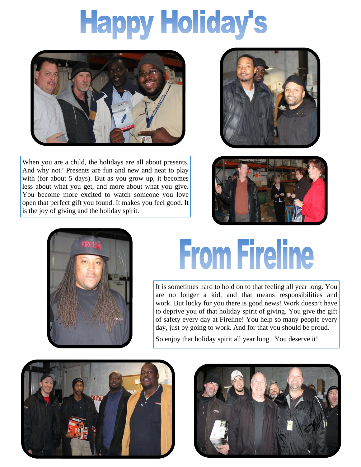# **Happy Holiday's**



When you are a child, the holidays are all about presents. And why not? Presents are fun and new and neat to play with (for about 5 days). But as you grow up, it becomes less about what you get, and more about what you give. You become more excited to watch someone you love open that perfect gift you found. It makes you feel good. It is the joy of giving and the holiday spirit.







# **From Fireline**

It is sometimes hard to hold on to that feeling all year long. You are no longer a kid, and that means responsibilities and work. But lucky for you there is good news! Work doesn't have to deprive you of that holiday spirit of giving. You give the gift of safety every day at Fireline! You help so many people every day, just by going to work. And for that you should be proud.

So enjoy that holiday spirit all year long. You deserve it!



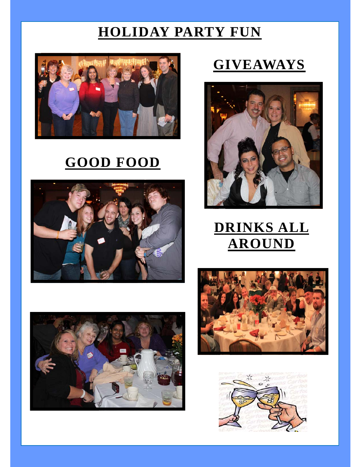# **HOLIDAY PARTY FUN**



# **GOOD FOOD**



# **GIVEAWAYS**



# **DRINKS ALL AROUND**





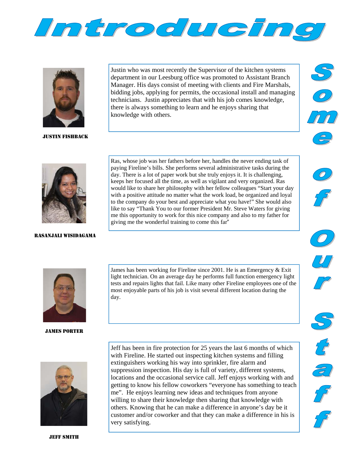



JUSTIN FISHBACK

Justin who was most recently the Supervisor of the kitchen systems department in our Leesburg office was promoted to Assistant Branch Manager. His days consist of meeting with clients and Fire Marshals, bidding jobs, applying for permits, the occasional install and managing technicians. Justin appreciates that with his job comes knowledge, there is always something to learn and he enjoys sharing that knowledge with others.





### RASANJALI WISIDAGAMA

Ras, whose job was her fathers before her, handles the never ending task of paying Fireline's bills. She performs several administrative tasks during the day. There is a lot of paper work but she truly enjoys it. It is challenging, keeps her focused all the time, as well as vigilant and very organized. Ras would like to share her philosophy with her fellow colleagues "Start your day with a positive attitude no matter what the work load, be organized and loyal to the company do your best and appreciate what you have!" She would also like to say "Thank You to our former President Mr. Steve Waters for giving me this opportunity to work for this nice company and also to my father for giving me the wonderful training to come this far"



 $\overline{c}$ 



JAMES PORTER

James has been working for Fireline since 2001. He is an Emergency & Exit light technician. On an average day he performs full function emergency light tests and repairs lights that fail. Like many other Fireline employees one of the most enjoyable parts of his job is visit several different location during the day.



JEFF SMITH

Jeff has been in fire protection for 25 years the last 6 months of which with Fireline. He started out inspecting kitchen systems and filling extinguishers working his way into sprinkler, fire alarm and suppression inspection. His day is full of variety, different systems, locations and the occasional service call. Jeff enjoys working with and getting to know his fellow coworkers "everyone has something to teach me". He enjoys learning new ideas and techniques from anyone willing to share their knowledge then sharing that knowledge with others. Knowing that he can make a difference in anyone's day be it customer and/or coworker and that they can make a difference in his is very satisfying.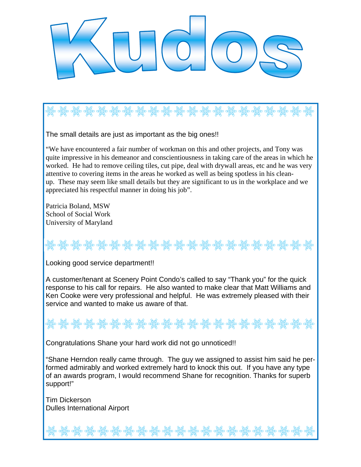

The small details are just as important as the big ones!!

"We have encountered a fair number of workman on this and other projects, and Tony was quite impressive in his demeanor and conscientiousness in taking care of the areas in which he worked. He had to remove ceiling tiles, cut pipe, deal with drywall areas, etc and he was very attentive to covering items in the areas he worked as well as being spotless in his cleanup. These may seem like small details but they are significant to us in the workplace and we appreciated his respectful manner in doing his job".

Patricia Boland, MSW School of Social Work University of Maryland

Looking good service department!!

A customer/tenant at Scenery Point Condo's called to say "Thank you" for the quick response to his call for repairs. He also wanted to make clear that Matt Williams and Ken Cooke were very professional and helpful. He was extremely pleased with their service and wanted to make us aware of that.

Congratulations Shane your hard work did not go unnoticed!!

"Shane Herndon really came through. The guy we assigned to assist him said he performed admirably and worked extremely hard to knock this out. If you have any type of an awards program, I would recommend Shane for recognition. Thanks for superb support!"

Tim Dickerson Dulles International Airport